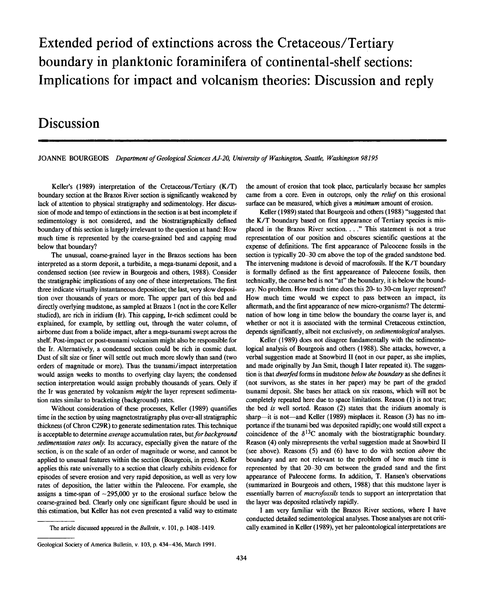# **Extended period of extinctions across the Cretaceous/Tertiary boundary in planktonic foraminifera of continental-shelf sections: Implications for impact and volcanism theories: Discussion and reply**

## **Discussion**

JOANNE BOURGEOIS *Department of Geological Sciences AJ-20, University of Washington, Seattle, Washington 98195* 

Keller's (1989) interpretation of the Cretaceous/Tertiary (K/T) boundary section at the Brazos River section is significantly weakened by lack of attention to physical stratigraphy and sedimentology. Her discussion of mode and tempo of extinctions in the section is at best incomplete if sedimentology is not considered, and the biostratigraphically defined boundary of this section is largely irrelevant to the question at hand: How much time is represented by the coarse-grained bed and capping mud below that boundary?

The unusual, coarse-grained layer in the Brazos sections has been interpreted as a storm deposit, a turbidite, a mega-tsunami deposit, and a condensed section (see review in Bourgeois and others, 1988). Consider the stratigraphic implications of any one of these interpretations. The first three indicate virtually instantaneous deposition; the last, very slow deposition over thousands of years or more. The upper part of this bed and directly overlying mudstone, as sampled at Brazos 1 (not in the core Keller studied), are rich in iridium (Ir). This capping, Ir-rich sediment could be explained, for example, by settling out, through the water column, of airborne dust from a bolide impact, after a mega-tsunami swept across the shelf. Post-impact or post-tsunami volcanism might also be responsible for the Ir. Alternatively, a condensed section could be rich in cosmic dust. Dust of silt size or finer will settle out much more slowly than sand (two orders of magnitude or more). Thus the tsunami/impact interpretation would assign weeks to months to overlying clay layers; the condensed section interpretation would assign probably thousands of years. Only if the Ir was generated by volcanism *might* the layer represent sedimentation rates similar to bracketing (background) rates.

Without consideration of these processes, Keller (1989) quantifies time in the section by using magnetostratigraphy plus over-all stratigraphic thickness (of Chron C29R) to generate sedimentation rates. This technique is acceptable to determine *average* accumulation rates, but *for background sedimentation rates only.* Its; accuracy, especially given the nature of the section, is on the scale of an order of magnitude or worse, and cannot be applied to unusual features within the section (Bourgeois, in press). Keller applies this rate universally to a section that clearly exhibits evidence for episodes of severe erosion and very rapid deposition, as well as very low rates of deposition, the latter within the Paleocene. For example, she assigns a time-span of  $\sim$ 295,000 yr to the erosional surface below the coarse-grained bed. Clearly only one significant figure should be used in this estimation, but Keller has not even presented a valid way to estimate the amount of erosion that took place, particularly because her samples came from a core. Even in outcrops, only the *relief* on this erosional surface can be measured, which gives a *minimum* amount of erosion.

Keller (1989) stated that Bourgeois and others (1988) "suggested that the K/T boundary based on first appearance of Tertiary species is misplaced in the Brazos River section. ... " This statement is not a true representation of our position and obscures scientific questions at the expense of definitions. The first appearance of Paleocene fossils in the section is typically 20-30 cm above the top of the graded sandstone bed. The intervening mudstone is devoid of macrofossils. If the K/T boundary is formally defined as the first appeareance of Paleocene fossils, then technically, the coarse bed is not "at" the boundary, it is below the boundary. No problem. How much time does this 20- to 30-cm layer represent? How much time would we expect to pass between an impact, its aftermath, and the first appearance of new micro-organisms? The determination of how long in time below the boundary the coarse layer is, and whether or not it is associated with the terminal Cretaceous extinction, depends significantly, albeit not exclusively, on *sedimentological* analyses.

Keller (1989) does not disagree fundamentally with the sedimentological analysis of Bourgeois and others (1988). She attacks, however, a verbal suggestion made at Snowbird II (not in our paper, as she implies, and made originally by Jan Smit, though I later repeated it). The suggestion is that *dwarfed* forms in mudstone *below the boundary* as she defines it (not survivors, as she states in her paper) may be part of the graded tsunami deposit. She bases her attack on six reasons, which will not be completely repeated here due to space limitations. Reason (1) is not true; the bed *is* well sorted. Reason (2) states that the iridium anomaly is sharp—it is not—and Keller (1989) misplaces it. Reason (3) has no importance if the tsunami bed was deposited rapidly; one would still expect a coincidence of the  $\delta^{13}$ C anomaly with the biostratigraphic boundary. Reason (4) only misrepresents the verbal suggestion made at Snowbird II (see above). Reasons (5) and (6) have to do with section *above* the boundary and are not relevant to the problem of how much time is represented by that 20-30 cm between the graded sand and the first appearance of Paleocene forms. In addition, T. Hansen's observations (summarized in Bourgeois and others, 1988) that this mudstone layer is essentially barren of *macrofossils* tends to support an interpretation that the layer was deposited relatively rapidly.

I am very familiar with the Brazos River sections, where I have conducted detailed sedimentological analyses. Those analyses are not critically examined in Keller (1989), yet her paleontological interpretations are

**The article discussed appeared in the** *Bulletin,* **v. 101, p. 1408-1419.** 

**Geological Society of America Bulletin, v. 103, p. 434-436, March 1991.**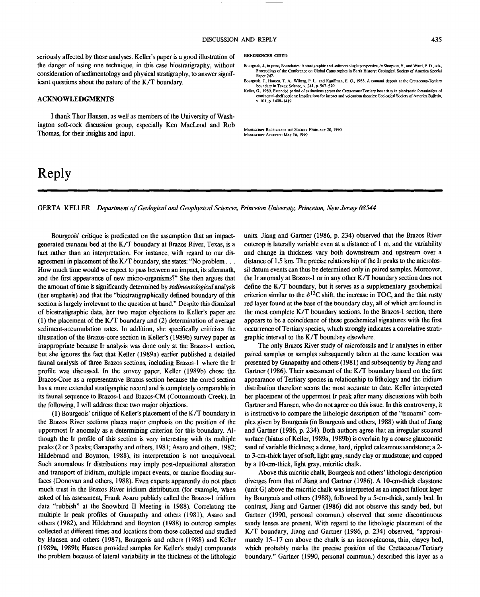seriously affected by those analyses. Keller's paper is a good illustration of REFERENCES CITED the danger of using one technique, in this case biostratigraphy, without consideration of sedimentology and physical stratigraphy, to answer significant questions about the nature of the K/T boundary.

### ACKNOWLEDGMENTS

I thank Thor Hansen, as well as members of the University of Washington soft-rock discussion group, especially Ken MacLeod and Rob Thomas, for their insights and input.

## **Reply**

- Bourgeois, J., in press, Boundaries: A stratigraphie and sedimentologic perspective, *in* Sharpton, V., and Ward, P. D., eds., Proceedings of the Conference on Global Catastrophes in Earth History: Geological Society of America Special Paper 247.
- Bourgeois, J., Hansen, T. A., Wiberg, P. L., and Kauffman, E. G., 1988, A tsunami deposit at the Cretaceous-Tertiary boundary in Texas: Science, v. 241, p. 567-570.
- Keller, G., 1989, Extended period of extinctions across the Cretaceous/Tertiary boundary in planktonic foraminifera of continental-shelf sections: Implications for impact and volcanism theories: Geological Society of America Bulletin v. 101, p. 1408-1419.

MANUSCRIPT RECEIVED BY THE SOCIETY FEBRUARY 20,199 0 MANUSCRIPT ACCEPTED MAY 16, 1990

GERTA KELLER *Department of Geological and Geophysical Sciences, Princeton University, Princeton, New Jersey 08544* 

Bourgeois' critique is predicated on the assumption that an impactgenerated tsunami bed at the K/T boundary at Brazos River, Texas, is a fact rather than an interpretation. For instance, with regard to our disagreement in placement of the K/T boundary, she states: "No problem... How much time would we expect to pass between an impact, its aftermath, and the first appearance of new micro-organisms?" She then argues that the amount of time is significantly determined by *sedimentological* analysis (her emphasis) and that the "biostratigraphically defined boundary of this section is largely irrelevant to the question at hand." Despite this dismissal of biostratigraphic data, her two major objections to Keller's paper are (1) the placement of the K/T boundary and (2) determination of average sediment-accumulation rates. In addition, she specifically criticizes the illustration of the Brazos-core section in Keller's (1989b) survey paper as inappropriate because Ir analysis was done only at the Brazos-1 section, but she ignores the fact that Keller (1989a) earlier published a detailed faunal analysis of three Brazos sections, including Brazos-1 where the Ir profile was discussed. In the survey paper, Keller (1989b) chose the Brazos-Core as a representative Brazos section because the cored section has a more extended stratigraphic record and is completely comparable in its faunal sequence to Brazos-1 and Brazos-CM (Cottonmouth Creek). In the following, I will address these two major objections.

(1) Bourgeois' critique of Keller's placement of the K/T boundary in the Brazos River sections places major emphasis on the position of the uppermost Ir anomaly as a determining criterion for this boundary. Although the Ir profile of this section is very interesting with its multiple peaks (2 or 3 peaks; Ganapathy and others, 1981; Asaro and others, 1982; Hildebrand and Boynton, 1988), its interpretation is not unequivocal. Such anomalous Ir distributions may imply post-depositional alteration and transport of iridium, multiple impact events, or marine flooding surfaces (Donovan and others, 1988). Even experts apparently do not place much trust in the Brazos River iridium distribution (for example, when asked of his assessment, Frank Asaro publicly called the Brazos-1 iridium data "rubbish" at the Snowbird II Meeting in 1988). Correlating the multiple Ir peak profiles of Ganapathy and others (1981), Asaro and others (1982), and Hildebrand and Boynton (1988) to outcrop samples collected at different times and locations from those collected and studied by Hansen and others (1987), Bourgeois and others (1988) and Keller (1989a, 1989b; Hansen provided samples for Keller's study) compounds the problem because of lateral variability in the thickness of the lithologic units. Jiang and Gartner (1986, p. 234) observed that the Brazos River outcrop is laterally variable even at a distance of 1 m, and the variability and change in thickness vary both downstream and upstream over a distance of 1.5 km. The precise relationship of the Ir peaks to the microfossil datum events can thus be determined only in paired samples. Moreover, the Ir anomaly at Brazos-1 or in any other K/T boundary section does not define the K/T boundary, but it serves as a supplementary geochemical criterion similar to the  $\delta^{13}$ C shift, the increase in TOC, and the thin rusty red layer found at the base of the boundary clay, all of which are found in the most complete K/T boundary sections. In the Brazos-1 section, there appears to be a coincidence of these geochemical signatures with the first occurrence of Tertiary species, which strongly indicates a correlative stratigraphic interval to the K/T boundary elsewhere.

The only Brazos River study of microfossils and Ir analyses in either paired samples or samples subsequently taken at the same location was presented by Ganapathy and others (1981) and subsequently by Jiang and Gartner (1986). Their assessment of the K/T boundary based on the first appearance of Tertiary species in relationship to lithology and the iridium distribution therefore seems the most accurate to date. Keller interpreted her placement of the uppermost Ir peak after many discussions with both Gartner and Hansen, who do not agree on this issue. In this controversy, it is instructive to compare the lithologic description of the "tsunami" complex given by Bourgeois (in Bourgeois and others, 1988) with that of Jiang and Gartner (1986, p. 234). Both authors agree that an irregular scoured surface (hiatus of Keller, 1989a, 1989b) is overlain by a coarse glauconitic sand of variable thickness; a dense, hard, rippled calcareous sandstone; a 2 to 3-cm-thick layer of soft, light gray, sandy clay or mudstone; and capped by a 10-cm-thick, light gray, micritic chalk.

Above this micritic chalk, Bourgeois and others' lithologic description diverges from that of Jiang and Gartner (1986). A 10-cm-thick claystone (unit G) above the micritic chalk was interpreted as an impact fallout layer by Bourgeois and others (1988), followed by a 5-cm-thick, sandy bed. In contrast, Jiang and Gartner (1986) did not observe this sandy bed, but Gartner (1990, personal commun.) observed that some discontinuous sandy lenses are present. With regard to the lithologic placement of the K/T boundary, Jiang and Gartner (1986, p. 234) observed, "approximately 15-17 cm above the chalk is an inconspicuous, thin, clayey bed, which probably marks the precise position of the Cretaceous/Tertiary boundary." Gartner (1990, personal commun.) described this layer as a